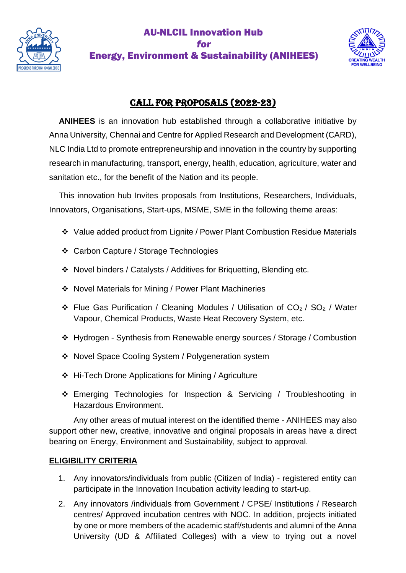

## AU-NLCIL Innovation Hub *for*  Energy, Environment & Sustainability (ANIHEES)



# CALL FOR PROPOSALS (2022-23)

**ANIHEES** is an innovation hub established through a collaborative initiative by Anna University, Chennai and Centre for Applied Research and Development (CARD), NLC India Ltd to promote entrepreneurship and innovation in the country by supporting research in manufacturing, transport, energy, health, education, agriculture, water and sanitation etc., for the benefit of the Nation and its people.

This innovation hub Invites proposals from Institutions, Researchers, Individuals, Innovators, Organisations, Start-ups, MSME, SME in the following theme areas:

- Value added product from Lignite / Power Plant Combustion Residue Materials
- Carbon Capture / Storage Technologies
- Novel binders / Catalysts / Additives for Briquetting, Blending etc.
- Novel Materials for Mining / Power Plant Machineries
- $\div$  Flue Gas Purification / Cleaning Modules / Utilisation of CO<sub>2</sub> / SO<sub>2</sub> / Water Vapour, Chemical Products, Waste Heat Recovery System, etc.
- Hydrogen Synthesis from Renewable energy sources / Storage / Combustion
- ◆ Novel Space Cooling System / Polygeneration system
- Hi-Tech Drone Applications for Mining / Agriculture
- Emerging Technologies for Inspection & Servicing / Troubleshooting in Hazardous Environment.

Any other areas of mutual interest on the identified theme - ANIHEES may also support other new, creative, innovative and original proposals in areas have a direct bearing on Energy, Environment and Sustainability, subject to approval.

### **ELIGIBILITY CRITERIA**

- 1. Any innovators/individuals from public (Citizen of India) registered entity can participate in the Innovation Incubation activity leading to start-up.
- 2. Any innovators /individuals from Government / CPSE/ Institutions / Research centres/ Approved incubation centres with NOC. In addition, projects initiated by one or more members of the academic staff/students and alumni of the Anna University (UD & Affiliated Colleges) with a view to trying out a novel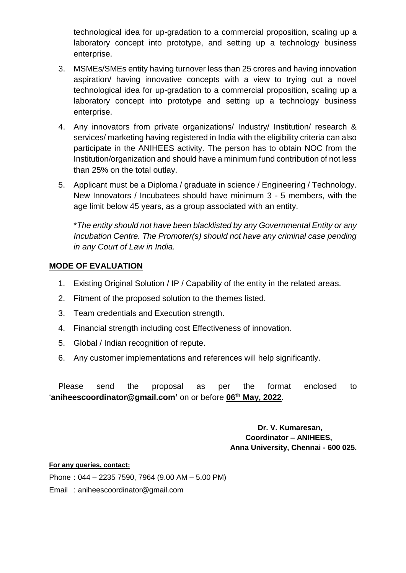technological idea for up-gradation to a commercial proposition, scaling up a laboratory concept into prototype, and setting up a technology business enterprise.

- 3. MSMEs/SMEs entity having turnover less than 25 crores and having innovation aspiration/ having innovative concepts with a view to trying out a novel technological idea for up-gradation to a commercial proposition, scaling up a laboratory concept into prototype and setting up a technology business enterprise.
- 4. Any innovators from private organizations/ Industry/ Institution/ research & services/ marketing having registered in India with the eligibility criteria can also participate in the ANIHEES activity. The person has to obtain NOC from the Institution/organization and should have a minimum fund contribution of not less than 25% on the total outlay.
- 5. Applicant must be a Diploma / graduate in science / Engineering / Technology. New Innovators / Incubatees should have minimum 3 - 5 members, with the age limit below 45 years, as a group associated with an entity.

\**The entity should not have been blacklisted by any Governmental Entity or any Incubation Centre. The Promoter(s) should not have any criminal case pending in any Court of Law in India.*

### **MODE OF EVALUATION**

- 1. Existing Original Solution / IP / Capability of the entity in the related areas.
- 2. Fitment of the proposed solution to the themes listed.
- 3. Team credentials and Execution strength.
- 4. Financial strength including cost Effectiveness of innovation.
- 5. Global / Indian recognition of repute.
- 6. Any customer implementations and references will help significantly.

Please send the proposal as per the format enclosed to '**aniheescoordinator@gmail.com'** on or before **06th May, 2022**.

> **Dr. V. Kumaresan, Coordinator – ANIHEES, Anna University, Chennai - 600 025.**

#### **For any queries, contact:**

Phone : 044 – 2235 7590, 7964 (9.00 AM – 5.00 PM)

Email : aniheescoordinator@gmail.com